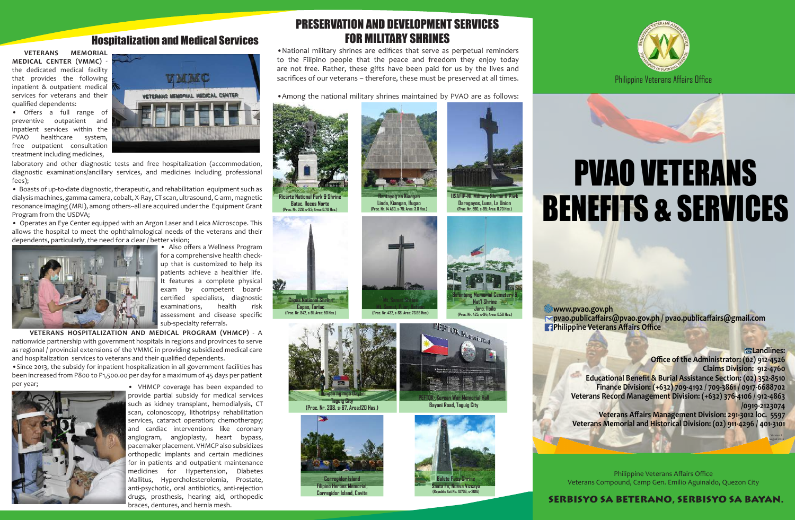## Hospitalization and Medical Services

**VETERANS MEMORIAL MEDICAL CENTER (VMMC)** the dedicated medical facility that provides the following inpatient & outpatient medical services for veterans and their qualified dependents:

• Offers a full range of preventive outpatient and inpatient services within the PVAO healthcare system, free outpatient consultation treatment including medicines,



laboratory and other diagnostic tests and free hospitalization (accommodation, diagnostic examinations/ancillary services, and medicines including professional fees);

• Boasts of up-to-date diagnostic, therapeutic, and rehabilitation equipment such as dialysis machines, gamma camera, cobalt, X-Ray, CT scan, ultrasound, C-arm, magnetic resonance imaging (MRI), among others--all are acquired under the Equipment Grant Program from the USDVA;

• Operates an Eye Center equipped with an Argon Laser and Leica Microscope. This allows the hospital to meet the ophthalmological needs of the veterans and their dependents, particularly, the need for a clear / better vision;



• Also offers a Wellness Program for a comprehensive health checkup that is customized to help its patients achieve a healthier life. It features a complete physical exam by competent boardcertified specialists, diagnostic examinations, health risk assessment and disease specific sub-specialty referrals.

 **VETERANS HOSPITALIZATION AND MEDICAL PROGRAM (VHMCP)** - A nationwide partnership with government hospitals in regions and provinces to serve as regional / provincial extensions of the VMMC in providing subsidized medical care and hospitalization services to veterans and their qualified dependents.

•Since 2013, the subsidy for inpatient hospitalization in all government facilities has been increased from P800 to P1,500.00 per day for a maximum of 45 days per patient per year; **• • • VHMCP** coverage has been expanded to



provide partial subsidy for medical services such as kidney transplant, hemodialysis, CT scan, colonoscopy, lithotripsy rehabilitation services, cataract operation; chemotherapy; and cardiac interventions like coronary angiogram, angioplasty, heart bypass, pacemaker placement. VHMCP also subsidizes orthopedic implants and certain medicines for in patients and outpatient maintenance medicines for Hypertension, Diabetes Mallitus, Hypercholesterolemia, Prostate, anti-psychotic, oral antibiotics, anti-rejection drugs, prosthesis, hearing aid, orthopedic braces, dentures, and hernia mesh.

# PRESERVATION AND DEVELOPMENT SERVICES FOR MILITARY SHRINES

•National military shrines are edifices that serve as perpetual reminders to the Filipino people that the peace and freedom they enjoy today are not free. Rather, these gifts have been paid for us by the lives and sacrifices of our veterans – therefore, these must be preserved at all times.

•Among the national military shrines maintained by PVAO are as follows:



**Batac, Ilocos Norte (Proc. Nr. 228, s-93; Area: 0.70 Has.)**

















# PVAO VETERANS BENEFITS & SERVICES

**www.pvao.gov.ph pvao.publicaffairs@pvao.gov.ph / pvao.publicaffairs@gmail.com Philippine Veterans Affairs Office** 

> **Landlines: Office of the Administrator: (02) 912-4526 Claims Division: 912-4760 Educational Benefit & Burial Assistance Section: (02) 352-8510 Finance Division: (+632) 709-4192 / 709-3861 / 0917-6688702 Veterans Record Management Division: (+632) 376-4106 / 912-4863 /0919-2123074 Veterans Affairs Management Division: 291-3012 loc. 5597**

**Veterans Memorial and Historical Division: (02) 911-4296 / 401-3101** Version 1

August 2016

Philippine Veterans Affairs Office Veterans Compound, Camp Gen. Emilio Aguinaldo, Quezon City

### SERBISYO SA BETERANO, SERBISYO SA BAYAN.





**Bantayog sa Kiangan**



**Balantang Memorial Cemetery & Nat'l Shrine Jaro, Iloilo (Proc. Nr. 425, s-94; Area: 0.58 Has.)**

PEFTOK MemorialWall

**USAFIP-NL Military Shrine & Park Daragayos, Luna, La Union (Proc. Nr. 590, s-95; Area: 0.70 Has.)**